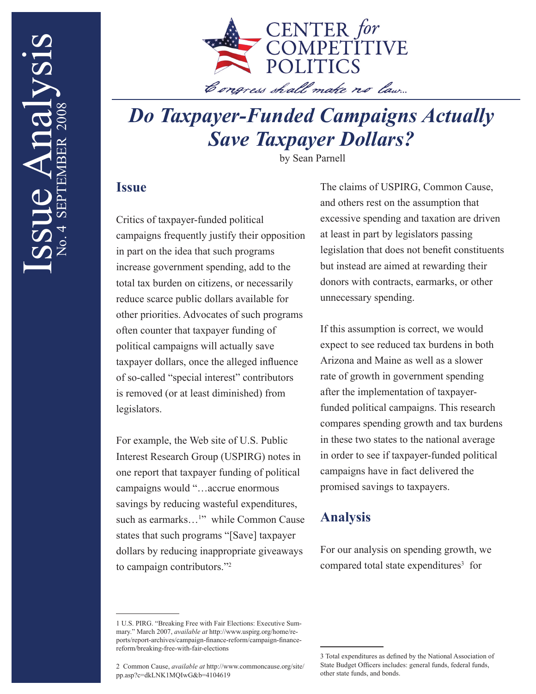

# *Do Taxpayer-Funded Campaigns Actually Save Taxpayer Dollars?*

by Sean Parnell

### **Issue**

Critics of taxpayer-funded political campaigns frequently justify their opposition in part on the idea that such programs increase government spending, add to the total tax burden on citizens, or necessarily reduce scarce public dollars available for other priorities. Advocates of such programs often counter that taxpayer funding of political campaigns will actually save taxpayer dollars, once the alleged influence of so-called "special interest" contributors is removed (or at least diminished) from legislators.

For example, the Web site of U.S. Public Interest Research Group (USPIRG) notes in one report that taxpayer funding of political campaigns would "…accrue enormous savings by reducing wasteful expenditures, such as earmarks...<sup>1</sup>" while Common Cause states that such programs "[Save] taxpayer dollars by reducing inappropriate giveaways to campaign contributors."2

The claims of USPIRG, Common Cause, and others rest on the assumption that excessive spending and taxation are driven at least in part by legislators passing legislation that does not benefit constituents but instead are aimed at rewarding their donors with contracts, earmarks, or other unnecessary spending.

If this assumption is correct, we would expect to see reduced tax burdens in both Arizona and Maine as well as a slower rate of growth in government spending after the implementation of taxpayerfunded political campaigns. This research compares spending growth and tax burdens in these two states to the national average in order to see if taxpayer-funded political campaigns have in fact delivered the promised savings to taxpayers.

### **Analysis**

For our analysis on spending growth, we compared total state expenditures<sup>3</sup> for

<sup>1</sup> U.S. PIRG. "Breaking Free with Fair Elections: Executive Summary." March 2007, *available at* http://www.uspirg.org/home/reports/report-archives/campaign-finance-reform/campaign-financereform/breaking-free-with-fair-elections

<sup>2</sup> Common Cause, *available at* http://www.commoncause.org/site/ pp.asp?c=dkLNK1MQIwG&b=4104619

<sup>3</sup> Total expenditures as defined by the National Association of State Budget Officers includes: general funds, federal funds, other state funds, and bonds.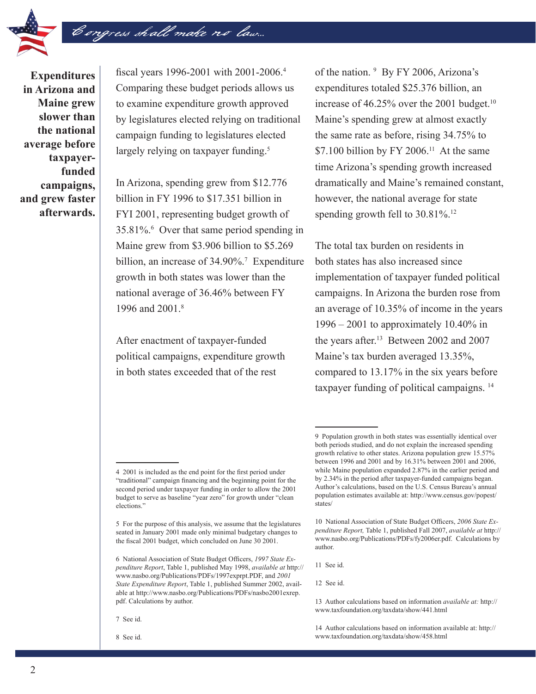

**Expenditures in Arizona and Maine grew slower than the national average before taxpayerfunded campaigns, and grew faster afterwards.**

fiscal years 1996-2001 with 2001-2006.<sup>4</sup> Comparing these budget periods allows us to examine expenditure growth approved by legislatures elected relying on traditional campaign funding to legislatures elected largely relying on taxpayer funding.<sup>5</sup>

Congress shall make no law...

In Arizona, spending grew from \$12.776 billion in FY 1996 to \$17.351 billion in FYI 2001, representing budget growth of 35.81%.6 Over that same period spending in Maine grew from \$3.906 billion to \$5.269 billion, an increase of 34.90%.<sup>7</sup> Expenditure growth in both states was lower than the national average of 36.46% between FY 1996 and 2001.<sup>8</sup>

After enactment of taxpayer-funded political campaigns, expenditure growth in both states exceeded that of the rest

of the nation. 9 By FY 2006, Arizona's expenditures totaled \$25.376 billion, an increase of 46.25% over the 2001 budget.<sup>10</sup> Maine's spending grew at almost exactly the same rate as before, rising 34.75% to \$7.100 billion by FY 2006.<sup>11</sup> At the same time Arizona's spending growth increased dramatically and Maine's remained constant, however, the national average for state spending growth fell to  $30.81\%$ .<sup>12</sup>

The total tax burden on residents in both states has also increased since implementation of taxpayer funded political campaigns. In Arizona the burden rose from an average of 10.35% of income in the years 1996 – 2001 to approximately 10.40% in the years after.<sup>13</sup> Between 2002 and 2007 Maine's tax burden averaged 13.35%, compared to 13.17% in the six years before taxpayer funding of political campaigns. 14

11 See id.

<sup>4 2001</sup> is included as the end point for the first period under "traditional" campaign financing and the beginning point for the second period under taxpayer funding in order to allow the 2001 budget to serve as baseline "year zero" for growth under "clean elections."

<sup>5</sup> For the purpose of this analysis, we assume that the legislatures seated in January 2001 made only minimal budgetary changes to the fiscal 2001 budget, which concluded on June 30 2001.

<sup>6</sup> National Association of State Budget Officers, *1997 State Expenditure Report*, Table 1, published May 1998, *available at* http:// www.nasbo.org/Publications/PDFs/1997exprpt.PDF, and *2001 State Expenditure Report*, Table 1, published Summer 2002, available at http://www.nasbo.org/Publications/PDFs/nasbo2001exrep. pdf. Calculations by author.

<sup>7</sup> See id.

<sup>8</sup> See id.

<sup>9</sup> Population growth in both states was essentially identical over both periods studied, and do not explain the increased spending growth relative to other states. Arizona population grew 15.57% between 1996 and 2001 and by 16.31% between 2001 and 2006, while Maine population expanded 2.87% in the earlier period and by 2.34% in the period after taxpayer-funded campaigns began. Author's calculations, based on the U.S. Census Bureau's annual population estimates available at: http://www.census.gov/popest/ states/

<sup>10</sup> National Association of State Budget Officers, *2006 State Expenditure Report,* Table 1, published Fall 2007, *available at* http:// www.nasbo.org/Publications/PDFs/fy2006er.pdf. Calculations by author.

<sup>12</sup> See id.

<sup>13</sup> Author calculations based on information *available at:* http:// www.taxfoundation.org/taxdata/show/441.html

<sup>14</sup> Author calculations based on information available at: http:// www.taxfoundation.org/taxdata/show/458.html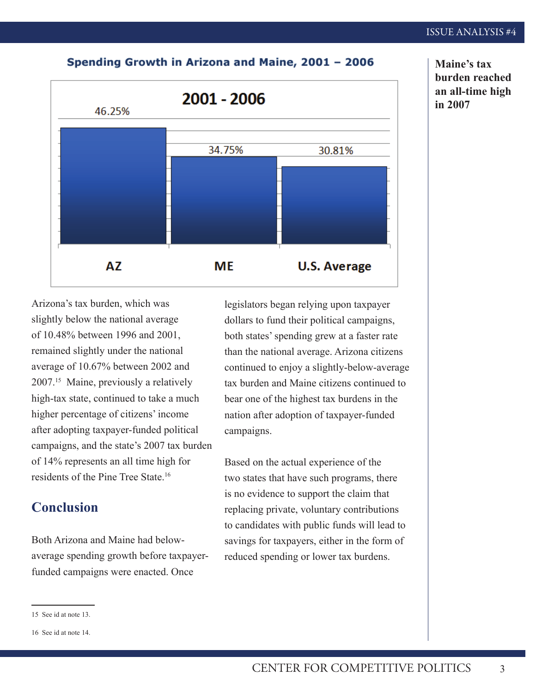#### Spending Growth in Arizona and Maine, 2001 - 2006



Arizona's tax burden, which was slightly below the national average of 10.48% between 1996 and 2001, remained slightly under the national average of 10.67% between 2002 and 2007.15 Maine, previously a relatively high-tax state, continued to take a much higher percentage of citizens' income after adopting taxpayer-funded political campaigns, and the state's 2007 tax burden of 14% represents an all time high for residents of the Pine Tree State.<sup>16</sup>

## **Conclusion**

Both Arizona and Maine had belowaverage spending growth before taxpayerfunded campaigns were enacted. Once

legislators began relying upon taxpayer dollars to fund their political campaigns, both states' spending grew at a faster rate than the national average. Arizona citizens continued to enjoy a slightly-below-average tax burden and Maine citizens continued to bear one of the highest tax burdens in the nation after adoption of taxpayer-funded campaigns.

Based on the actual experience of the two states that have such programs, there is no evidence to support the claim that replacing private, voluntary contributions to candidates with public funds will lead to savings for taxpayers, either in the form of reduced spending or lower tax burdens.

**Maine's tax burden reached an all-time high in 2007**

<sup>15</sup> See id at note 13.

<sup>16</sup> See id at note 14.